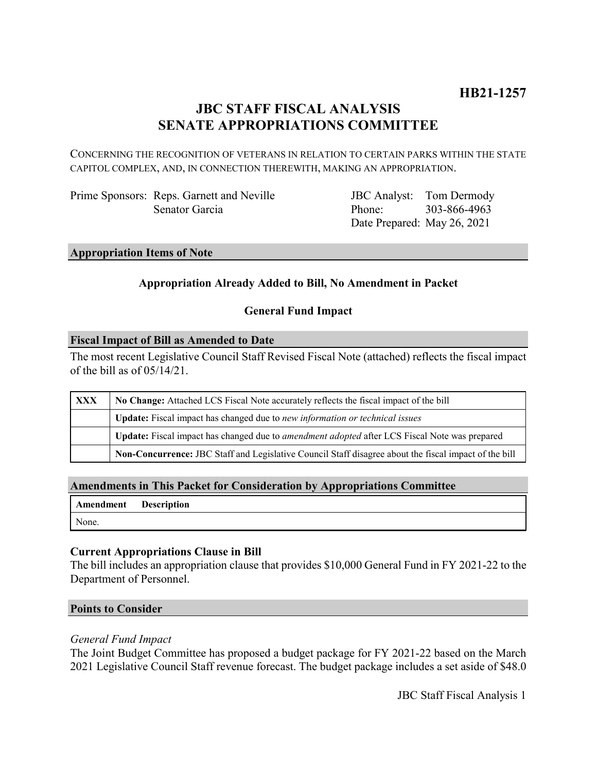# **JBC STAFF FISCAL ANALYSIS SENATE APPROPRIATIONS COMMITTEE**

CONCERNING THE RECOGNITION OF VETERANS IN RELATION TO CERTAIN PARKS WITHIN THE STATE CAPITOL COMPLEX, AND, IN CONNECTION THEREWITH, MAKING AN APPROPRIATION.

Prime Sponsors: Reps. Garnett and Neville Senator Garcia

JBC Analyst: Tom Dermody Phone: Date Prepared: May 26, 2021 303-866-4963

## **Appropriation Items of Note**

## **Appropriation Already Added to Bill, No Amendment in Packet**

## **General Fund Impact**

#### **Fiscal Impact of Bill as Amended to Date**

The most recent Legislative Council Staff Revised Fiscal Note (attached) reflects the fiscal impact of the bill as of 05/14/21.

| XXX | No Change: Attached LCS Fiscal Note accurately reflects the fiscal impact of the bill                       |
|-----|-------------------------------------------------------------------------------------------------------------|
|     | <b>Update:</b> Fiscal impact has changed due to new information or technical issues                         |
|     | <b>Update:</b> Fiscal impact has changed due to <i>amendment adopted</i> after LCS Fiscal Note was prepared |
|     | Non-Concurrence: JBC Staff and Legislative Council Staff disagree about the fiscal impact of the bill       |

#### **Amendments in This Packet for Consideration by Appropriations Committee**

| Amendment Description |  |
|-----------------------|--|
| None.                 |  |

#### **Current Appropriations Clause in Bill**

The bill includes an appropriation clause that provides \$10,000 General Fund in FY 2021-22 to the Department of Personnel.

#### **Points to Consider**

#### *General Fund Impact*

The Joint Budget Committee has proposed a budget package for FY 2021-22 based on the March 2021 Legislative Council Staff revenue forecast. The budget package includes a set aside of \$48.0